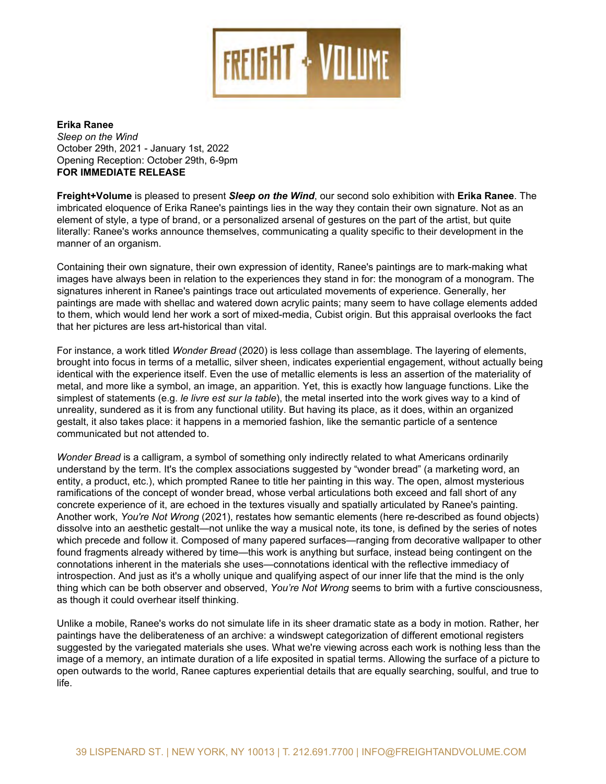

## **Erika Ranee** Sleep on the Wind October 29th - December 11st, 2021 Opening Reception: October 29th, 6-9pm **FOR IMMEDIATE RELEASE**

: fY][ \hŽJc` i a Y'å•Ác@¦å||^åÁc[Á]¦^•^}¢ÁG`YYd´c*b`h* \Y`*K]bX*ÊÁ[ ˇ¦Á•^&[ }åÁ•[|[Á^¢@åàǎcǎ[ }Á ¸åc@Á9f]\_U`FUbYYÊÁ[ }Á çã^ ¸ ÁæcÁHJÁŠå•]^}æ¦åÁÙcÈÁ~¦[ { ÁU&c[à^¦ÁGJc@Ác@¦[ ˇ \* @ÁÖ^&^ { à^¦ÁFFc@ÈÁV@^Ácåc|^Áå•Á|å~c^åÁ~¦[ { ÁæÁ { [}[|[ \* ˇ ^Á å^|äç^¦^å|à^|iTæ¦|[}|lÓ¦æ}å[|å}|c@^|i-å|{|v@^|@~\*\*jcăç^|Să}åÊ||àæ•^å|{}|v^}}^••^^|vä||iæ{•(•|1||æ^Ê|U|1]@^~•| Ö^•&^}åå} \*ËkO¦æ}å[q•k&@æ¦æ&c^¦k•]^æ\•k[-kcå}^Ék|å\* @ckà|ˇ^kÇc¦æ}•]æ¦^}cDkàå¦å•kc@æckå[}qck@æç^k|^\*•Ĕk•[kc@^^k }^ç^¦Á|æ}å · }^ç^¦Á•c[]Á-|^å}\*KÁ‰õc@^^Á•]¦^æåÁc@^å¦Á¸å}\*•Á[~cÁæ}åÁ•|^^]Á[}Ác@^Á¸å}åĖ+ÁQ}Ác@^Á•æ{^Á¸æ^ÊÁ Üæ}^^q•Á]¦æ&cå&^Á}^ç^¦Á•c[]•Á^ç[|çå}\* · ^æ&@Á]æå}cå}\*Áå•Áà~å|cÁc@¦[`\*@ÁæÁ]¦[&^••Á[-Á|æ^^¦å}\*ÊÁ妿¸å}\*Á~¦[{Ác@^Á å^c¦åcˇ•Á[~Á@^¦Áåæä|^Á|å~^ÉÁŒ¦cã-æ&c•Áæ¦^Á^ { à^åå^åÉÁ[à•&ˇ¦^åÁæ}åÁ•[ { ^cã { ^•Á¦^çå•åc^åLÁ|å˘\*åå&[}å˘åœ∮æ}åÁ ∙^}æ]∙^•Á&[}}^&chæ}åÁ[[:^hc@¦[ˇ\*@Á]æã}chæ}åÁ¸æc^¦Á}^c¸[¦∖•Á|ā\^Àà|[[åÊh&^||•hæ}åA@^æ¦cà^æc•ÈhQ}hc@ā•Á¸æ^Êh<br>Üæ}^^G•Á¸[¦\•hæ}}[ˇ}&^hc@^{•^|ç^•Éh&[{{ˇ}ā&æcā}\*hæhˇ~æ|äc^h•]^&ā-ā&hc[hc@^āihå^ç^|[]{^}chā}hc@^h{æ}}^¦h[-h æ}Á[¦\*æ}ã•{È

Ø「¦Áä}∙œ}&^ÉÁæÁ ຺ 「¦\Ácāc|^åÁ*Wonder Bread*ÁÇG€G€DÁā∙Á|^•∙Á&「||æ\*^Ác@æ}Áæ∙∙^ { à|æ\*^ÉÁV@^Á|æ^^¦ā}\*Á「-Á^|^ { ^}c∙ÉÁ à¦[ˇ\*@chi}c[Á-[&ˇ•hi}hc^¦{•h[~hæh{^cæ||i&Êh•i|ç^¦h•@^^}Èhi}ài&æc^•h^¢]^¦i^}ciæ|h^}\*æ\*^{^}cÈh¸ic@[ˇchæ&cˇæ||^h à^i}\*Áiå^}ci&æ|Á\_ic@Ác@^Á^¢]^¦i^}&^Áic•^|-ÈÁÒç^}Ác@^Á~•^Á[~Á{^cæ||i&Á^|^{^}c•Ái•Á|^••Áæ}Áæ••^¦ci[}Á[~Ác@^Á {æc^¦åæ|åc^Á[~Á{^cæ|ÊÁæ}åÁ{[¦^Á|å\^ÁæÁ●^{à[|ÊÁæ}Áå{æ\*^ÊÁæ}Áæ]]æ¦åcå[}ĚÁV@^Á{^cæ||å&Á●^{à[|Áå●Á●c¦å\å}\*ĚÁ\*åç^}Á Üæ}^^G•Áˇ•˘æ|Á]|æ}cË|å\^Á•@æ]^•Áæ}åÁ&[|[¦•ĚÁQ}Á*Touch My Hair*ÁÇG€GFDÊÁ-[¦Á^¢æ{]|^ÉÁc@^Á•@æ]^•Á&æ}Á|[[\Á|å\^Á *mushikuil*i . ÁæÁRæ]æ}^•^Á . [¦åÁ-[¦Áà ˇ \*Ĕ^æc^}Á]|æ}c•Á . Áæ}åÁ• ˇåå^}|^Ác@^Á}^\*æcāç^Á•]æ&^Édc@^Á•]æ&^Ác@æcÁ@æ•Áà^^}Á ^æc^}ÊÁà^&[{^•æ^&[\*}à:æà|^ÈÁTouch My HairÀi•Àb`•cÁæ•Á{`&@Áæ••^{à|æ\*^LÁ|æ^^¦^åÁ•@æå[.•Áæ}å mushikuiÀ à^&[{^Á^¢]¦^••ăç^Á•^{à[|•ÈÁŠå\^Ác@^Á•ă{]|^•cÁ[~Á•cæc^{^}c•Á.Á•~&@Áæ•Ác@^Á|^¦ā&•Á[~ÁÕ^[¦\*^ÁÔ|å}c[}ÈÁŠ^^Á ÄÙ&¦æc&@ÄÁÚ^¦¦^ÉÁŠ^åÁZ^]]^|ä}ÉÁ[¦ÁRå{åþ^}å¦å¢Á¸@å&@Á]|æ^Ác@¦[ˇ\*@[ˇcÁÜæ}^^C•Á•cˇåå[Áæ•Á•@^Á¸[¦\•Á.Ác@^Á mushikui æ}åÁ{^œ||å&Á``æ|åc^Áå}•^¦c^åÁå}c[Á*Touch My Hair*Áæ}åÁWonder BreadÊÁ¦^•]^&œg^|^ÊÁ\*åç^•Á¸æ^Ác[ÁæÁ\å}åÁ [⊹Áˇ}¦^æ|āc^ÊÁ•ˇ}å^¦^åÁæ•ÁācÁå•Á~¦[{Áæ}^Á~ˇ}&cā[}æ|Áˇcā|āc^ÈÁÓˇcÁ@æçā}\*Áāc•Á]|æ&^ÊÁācÁæ|•[Ácæ\^•Á]|æ&^KÁācÁ@æ]]^}•Áā}ÁæÁ {^{|¦å^åÁ~æ•@å[}ÊÁ|å\^Ác@^Á•^{æ}cå&Á]æ¦cå&|^Á[~ÁæÁ•[}\*Á|^¦å&Á&[{{`}å&æc^åÊÁà~cÁ}[cÁæcc^}å^åÁc[È

åå••[|ç^Áå}c[Áæ}Áæ^•c@^cå&Á\*^•cæ|c · }[cÁˇ}|å\^Ác@^Á¸æ^ÁæÁ{ˇ•å&æ|Á}[c^ÊÁǎc•Ác[}^ÊÁå•Áå^~å}^åÁà^Ác@^Á•^¦å^•Á[~Á}[c^•Á , @i&@Á]¦^&^å^Áæ}åÁ-[||[ ¸ÅicĖÁÔ[ { ][•^åÁ[-Á { æ}^Á]æ]^¦^åÁ•~`¦-æ&^•Á.Á¦æ}\*i}\*Á-¦[ { Åå^&[¦æciç^Á ¸æ||]æ]^¦Ác[Á[c@^¦Á ~[~}åÁ~¦æ\*{^}c•Áæ|¦^æå^Á¸åc@^¦^åÁà^Ácå{^Á.Ác@å•Á¸[¦\Áå•Áæ}^c@å}\*Áà~cÁ•~¦~æ&^ÊÁå}•c^æåÁà^å}\*Á&[}cå}\*^}cÁ[}Ác@^Á &[}}[cæcå[}•Áå}@^¦^}cÁå}Ác@^Á{æc^¦åæ|•Á•@^Áˇ•^•ĚÁŸ[~q/^ÁÞ[cÁY/[}\*Á•^^{•Ác[Áà¦å{Á¸åc@ÁæÁ~~¦cåç^Á&[}•&å[~•}^••ÈÁ æ•Ác@[ˇ\*@ÁācÁ ͺ^¦^Áæ}Á[¦\*æ}ā•{Á[}^Á&[ˇ|åÁ[ç^¦@^æ¦Áāc•^|~Ác@ā}\ā}\*È

W}|ä\^ÁæÁ{[àî|^ÉÁÜæ}^^{∙Á¸[¦\∙Áå[Á}[cÁ•ã{ ˇ|æc^Á|ä~^Áä}Áäc•Á•@^^¦Á妿{æcä&Á•cæc^Áæ•ÁæÁà[å^Áä}Á{[cǎ[}ÈÁÜæc@^¦ÉÁ@^¦Á ]æi}ci}\*•Á@æç^Ác@^Áå^|ià^¦æc^}^••Á[~Áæ}Áæ¦&@iç^KÁæÁ¸i}啸^]cÁ&æc^\*[¦iːæci[}Á[~Áåå~^¦^}cÁ^{[ci[}æ|Á¦^\*i•c^¦•Á •~\*\*^•c^åÁà^Ác@^Áçæ¦å^\*æc^åÁ{æc^¦åæ|•Á•@^Á~•^•ÈÁY@æcÁ¸^¦¦^Áçå^¸å}\*Áæ&¦[••Á^æ&@Á¸[¦\Áå•À}[c@å}\*À|^••Ac@æ}Ac@^A å{æ\*^A[~AæA}å{^{[¦^EAæ}}å}cä{æc^Aå~`læcä[}A[~AæA]å~^A^¢][•åc^åAå}A•]æcåæ|Ac^¦{•EAŒ||[¸å}\*Ac@^A•~`l~æ&^A[~AæA]å&c~'1^Ac[A |ã∼^É

9f]\_U`FUbYYÁ¦^&^åç^åÁ@^¦ÁT∅ŒÁã}Á]æå}cå} \*Á⊹¦[ { ÁWÔĐÓ^¦∖^|^^Áã}ÁFJJHÈÁQ}ÁG€GFÉÀ●@^Á¸æ∙Ác@^Á¦^&ã]ã^}cÁ[~ÁæÁÞ^ ¸Á Ÿ[¦\ÁØ[ˇ}åæcå[}Á-[¦Ác@^ÁŒ¦c●ÁØ^||[¸●@ã]Áâ}ÁÚæå}cå}\*ÉÁæ}ÁŒQTÁØ^||[¸●@ã]Á-¦[{Ác@^ÁÓ¦[}¢ÁTˇ●^ˇ{ÉÁæ}åÁ¸æ•Á Έ¦[}•AŒ¦c•AÖ^}c^¦Ai}AG€€JAæ}åA¸æ•Aæ¸æ¦å^åAæA•cˇåi[A\*¦æ}cA-¦[{AV@^ATæ¦i^AYæ|•@AÜ@æ¦]^AŒ¦cAØ[ˇ}åæci[}Ai}A G€FFÉ